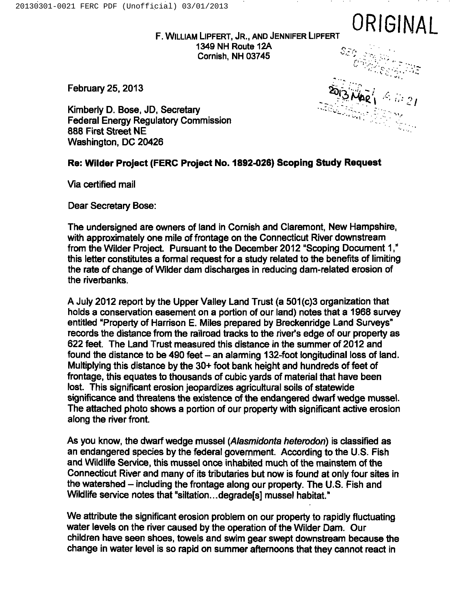F. WILLIAM LIPFERT, JR., AND JENNIFER LIPFERT 1349 NH Route 12A Cornish, NH 03745

ORIGINAL

2013 MA

February 25, 2013

Kimberly D. Bose, JD, Secretary Federal Energy Regulatory Commission 888 First Street NE Washington, DC 20426

## Re: Wilder Project (FERC Project No. 1692-026) Scoping Study Request

Via certified mail

Dear Secretary Bose:

The undersigned are owners of land in Cornish and Claremont, New Hampshire, with approximately one mile of frontage on the Connecticut River downstream from the Wilder Project. Pursuant to the December 2012 "Scoping Document 1," this letter constitutes a formal request for a study related to the benefits of limiting the rate of change of Wilder dam discharges in reducing dam-related erosion of the riverbanks.

A July 2012 report by the Upper Valley Land Trust (a 501(c)3organization that holds a conservation easement on a portion of our land) notes that a 1968 survey entitled "Property of Harrison E. Miles prepared by Breckenridge Land Surveys" records the distance from the railroad tracks to the river's edge of our property as 622 feet. The Land Trust measured this distance in the summer of 2012 and found the distance to be 490 feet —an alarming 132-foot longitudinal loss of land. Multiplying this distance by the 30+ foot bank height and hundreds of feet of frontage, this equates to thousands of cubic yards of material that have been lost. This significant erosion jeopardizes agricultural soils of statewide significance and threatens the existence of the endangered dwarf wedge mussel. The attached photo shows a portion of our property with significant active erosion along the river front.

As you know, the dwarf wedge mussel (Alasmidonfa heterodon) is classified as an endangered species by the federal government. According to the U.S. Fish and Wildlife Service, this mussel once inhabited much of the mainstem of the Connecticut River and many of its tributaries but now is found at only four sites in the watershed —including the frontage along our property. The U.S. Fish and Wildlife service notes that "siltation...degrade[s] mussel habitat."

We attribute the significant erosion problem on our property to rapidly fluctuating water levels on the river caused by the operation of the Wilder Dam. Our children have seen shoes, towels and swim gear swept downstream because the change in water level is so rapid on summer afternoons that they cannot react in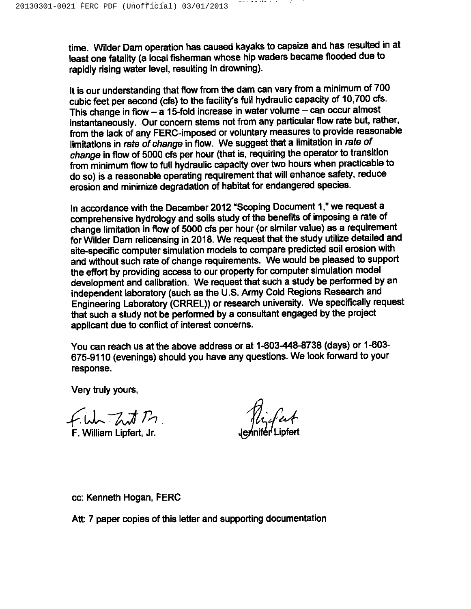time. Wilder Dam operation has caused kayaks to capsize and has resulted in at least one fatality (a local fisherman whose hip waders became flooded due to rapidly rising water level, resulting in drowning).

It is our understanding that flow from the dam can vary from a minimum of 700 cubic feet per second (cfs) to the facility's full hydraulic capacity of 10,700 cfs. This change in flow - a 15-fold increase in water volume - can occur almost instantaneously. Our concern stems not from any particular flow rate but, rather, from the lack of any FERC-imposed or voluntary measures to provide reasonable limitations in rate of change in flow. We suggest that a limitation in rate of change in flow of 5000 cfs per hour (that is, requiring the operator to transition from minimum flow to full hydraulic capacity over two hours when practicable to do so) is a reasonable operating requirement that will enhance safety, reduce erosion and minimize degradation of habitat for endangered species.

In accordance with the December 2012 "Scoping Document 1," we request a comprehensive hydrology and soils study of the benefits of imposing a rate of change limitation in flow of 5000 cfs per hour (or similar value) as a requirement for Wilder Dam relicensing in 2018. We request that the study utilize detailed and site-specific computer simulation models to compare predicted soil erosion with and without such rate of change requirements. We would be pleased to support the effort by providing access to our property for computer simulation model development and calibration. We request that such a study be performed by an independent laboratory (such as the U.S. Army Cold Regions Research and Engineering Laboratory (CRREL)) or research university. We specifically request that such a study not be performed by a consultant engaged by the project applicant due to conflict of interest concerns.

You can reach us at the above address or at 1-603-448-8738 (days) or 1-603-675-9110(evenings) should you have any questions. We look forward to your response.

Very truly yours,

 $Fuh$   $\lambda$   $\pi$   $\hbar$ .  $F.W.$ <br>F. William Lipfert, Jr. ennifert Lipfert

cc: Kenneth Hogan, FERC

Att: 7 paper copies of this letter and supporting documentation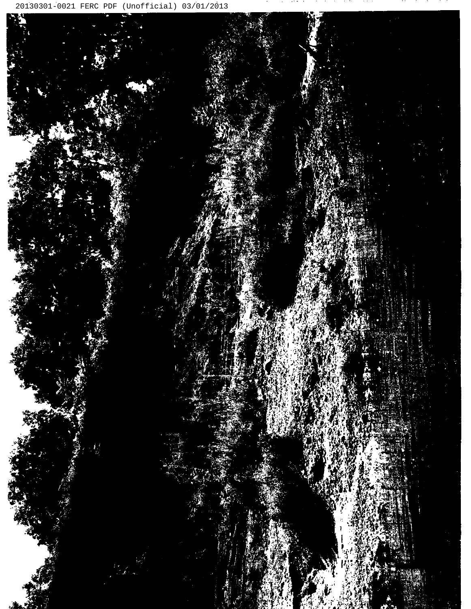